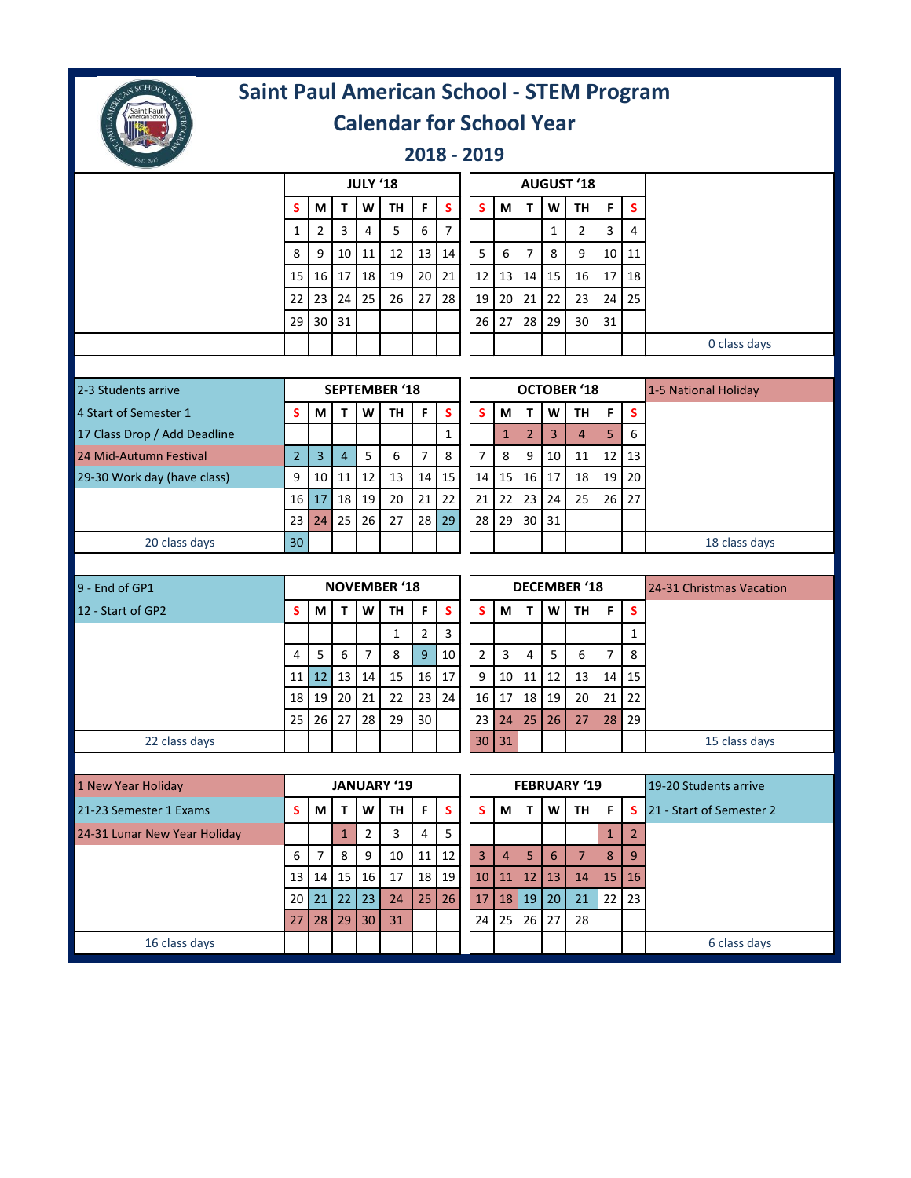

## **Saint Paul American School - STEM Program**

## **Calendar for School Year**

**2018 - 2019** 

|                              | <b>JULY '18</b>      |                |                |                  |                     |                |                |                |                |                |                  | <b>AUGUST '18</b>   |                |                |                          |
|------------------------------|----------------------|----------------|----------------|------------------|---------------------|----------------|----------------|----------------|----------------|----------------|------------------|---------------------|----------------|----------------|--------------------------|
|                              | s                    | M              | $\mathbf T$    | W                | <b>TH</b>           | F              | S              | S              | М              | T.             | W                | <b>TH</b>           | F              | $\mathsf S$    |                          |
|                              | $\mathbf{1}$         | $\overline{2}$ | 3              | $\overline{4}$   | 5                   | 6              | $\overline{7}$ |                |                |                | $\mathbf{1}$     | $\overline{2}$      | 3              | 4              |                          |
|                              | 8                    | 9              | 10             | 11               | 12                  | 13             | 14             | 5              | 6              | $\overline{7}$ | 8                | 9                   | 10             | 11             |                          |
|                              | 15                   | 16             | 17             | 18               | 19                  | 20             | 21             | 12             | 13             | 14             | 15               | 16                  | 17             | 18             |                          |
|                              | 22                   | 23             | 24             | 25               | 26                  | 27             | 28             | 19             | 20             | 21             | 22               | 23                  | 24             | 25             |                          |
|                              | 29                   | 30             | 31             |                  |                     |                |                | 26             | 27             | 28             | 29               | 30                  | 31             |                |                          |
|                              |                      |                |                |                  |                     |                |                |                |                |                |                  |                     |                |                | 0 class days             |
|                              |                      |                |                |                  |                     |                |                |                |                |                |                  |                     |                |                |                          |
| 2-3 Students arrive          | <b>SEPTEMBER '18</b> |                |                |                  |                     |                |                |                |                |                |                  | <b>OCTOBER '18</b>  |                |                | 1-5 National Holiday     |
| 4 Start of Semester 1        | s                    | M              | T              | W                | <b>TH</b>           | F              | S              | S              | M              | $\mathbf{T}$   | W                | <b>TH</b>           | F              | $\mathsf{s}$   |                          |
| 17 Class Drop / Add Deadline |                      |                |                |                  |                     |                | $\mathbf{1}$   |                | $\mathbf{1}$   | $\overline{2}$ | $\overline{3}$   | $\overline{4}$      | 5              | 6              |                          |
| 24 Mid-Autumn Festival       | $\overline{2}$       | $\overline{3}$ | $\overline{4}$ | 5                | 6                   | $\overline{7}$ | 8              | 7              | 8              | 9              | 10               | 11                  | 12             | 13             |                          |
| 29-30 Work day (have class)  | 9                    | 10             | 11             | 12               | 13                  | 14             | 15             | 14             | 15             | 16             | 17               | 18                  | 19             | 20             |                          |
|                              | 16                   | 17             | 18             | 19               | 20                  | 21             | 22             | 21             | 22             | 23             | 24               | 25                  | 26             | 27             |                          |
|                              | 23                   | 24             | 25             | 26               | 27                  | 28             | 29             | 28             | 29             | 30             | 31               |                     |                |                |                          |
| 20 class days                | 30                   |                |                |                  |                     |                |                |                |                |                |                  |                     |                |                | 18 class days            |
|                              |                      |                |                |                  |                     |                |                |                |                |                |                  |                     |                |                |                          |
|                              |                      |                |                |                  |                     |                |                |                |                |                |                  |                     |                |                |                          |
| 9 - End of GP1               |                      |                |                |                  | <b>NOVEMBER '18</b> |                |                |                |                |                |                  | <b>DECEMBER '18</b> |                |                | 24-31 Christmas Vacation |
| 12 - Start of GP2            | s                    | M              | T              | W                | <b>TH</b>           | F              | S              | s              | M              | T              | W                | <b>TH</b>           | F              | $\mathsf{s}$   |                          |
|                              |                      |                |                |                  | 1                   | $\overline{2}$ | 3              |                |                |                |                  |                     |                | $\mathbf{1}$   |                          |
|                              | 4                    | 5              | $\sqrt{6}$     | $\overline{7}$   | 8                   | 9              | 10             | $\overline{2}$ | 3              | 4              | 5                | 6                   | $\overline{7}$ | 8              |                          |
|                              | 11                   | 12             | 13             | 14               | 15                  | 16             | 17             | 9              | 10             | 11             | 12               | 13                  | 14             | 15             |                          |
|                              | 18                   | 19             | 20             | 21               | 22                  | 23             | 24             | 16             | 17             | 18             | 19               | 20                  | 21             | 22             |                          |
|                              | 25                   | 26             | 27             | 28               | 29                  | 30             |                | 23             | 24             | 25             | 26               | 27                  | 28             | 29             |                          |
| 22 class days                |                      |                |                |                  |                     |                |                | 30             | 31             |                |                  |                     |                |                | 15 class days            |
| 1 New Year Holiday           |                      |                |                |                  | <b>JANUARY '19</b>  |                |                |                |                |                |                  | <b>FEBRUARY '19</b> |                |                | 19-20 Students arrive    |
| 21-23 Semester 1 Exams       | s                    | М              | т              | W                | TH                  | F              | S              | S              | М              | т              | W                | TH                  | F              | <b>S</b>       | 21 - Start of Semester 2 |
| 24-31 Lunar New Year Holiday |                      |                | $\mathbf 1$    | $\mathbf 2$      | 3                   | 4              | 5              |                |                |                |                  |                     | $\mathbf 1$    | $\vert$ 2      |                          |
|                              | 6                    | $\overline{7}$ | $\,8\,$        | $\boldsymbol{9}$ | 10                  | 11             | $12\,$         | $\overline{3}$ | $\overline{4}$ | 5              | $\boldsymbol{6}$ | $\overline{7}$      | 8              | 9 <sup>°</sup> |                          |
|                              | 13                   | 14             | 15             | 16               | $17\,$              |                | 18  19         | 10             | 11             | 12             | 13               | 14                  | 15             | 16             |                          |
|                              | 20                   | 21             | 22             | 23               | 24                  | 25             | 26             | 17             | 18             | 19             | 20               | 21                  | 22             | 23             |                          |
|                              | 27                   | 28             | 29             | 30               | 31                  |                |                | 24             | 25             | 26             | 27               | 28                  |                |                |                          |